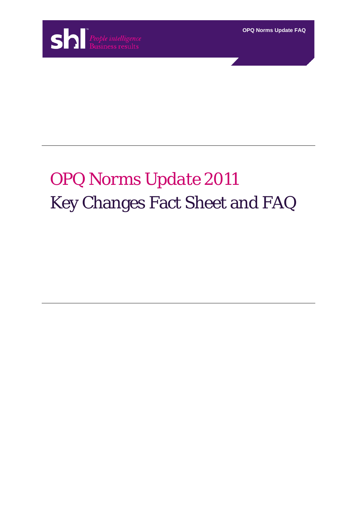

**OPQ Norms Update FAQ**

# *OPQ Norms Update 2011* Key Changes Fact Sheet and FAQ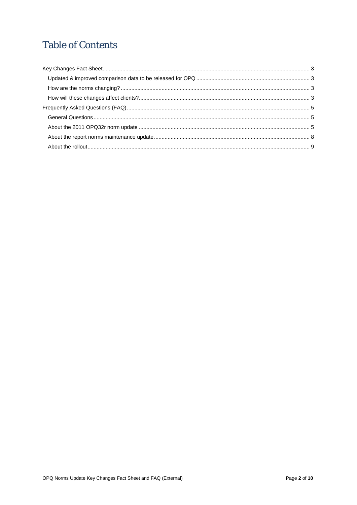# **Table of Contents**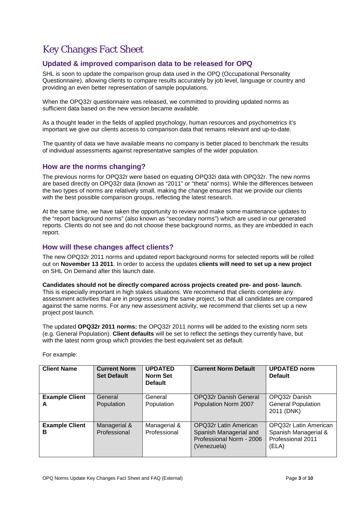# <span id="page-2-0"></span>Key Changes Fact Sheet

# <span id="page-2-1"></span>**Updated & improved comparison data to be released for OPQ**

SHL is soon to update the comparison group data used in the OPQ (Occupational Personality Questionnaire), allowing clients to compare results accurately by job level, language or country and providing an even better representation of sample populations.

When the OPQ32r questionnaire was released, we committed to providing updated norms as sufficient data based on the new version became available.

As a thought leader in the fields of applied psychology, human resources and psychometrics it's important we give our clients access to comparison data that remains relevant and up-to-date.

The quantity of data we have available means no company is better placed to benchmark the results of individual assessments against representative samples of the wider population.

### <span id="page-2-2"></span>**How are the norms changing?**

The previous norms for OPQ32r were based on equating OPQ32i data with OPQ32r. The new norms are based directly on OPQ32r data (known as "2011" or "theta" norms). While the differences between the two types of norms are relatively small, making the change ensures that we provide our clients with the best possible comparison groups, reflecting the latest research.

At the same time, we have taken the opportunity to review and make some maintenance updates to the "report background norms" (also known as "secondary norms") which are used in our generated reports. Clients do not see and do not choose these background norms, as they are imbedded in each report.

# <span id="page-2-3"></span>**How will these changes affect clients?**

The new OPQ32r 2011 norms and updated report background norms for selected reports will be rolled out on **November 13 2011**. In order to access the updates **clients will need to set up a new project** on SHL On Demand after this launch date.

**Candidates should not be directly compared across projects created pre- and post- launch**. This is especially important in high stakes situations. We recommend that clients complete any assessment activities that are in progress using the same project, so that all candidates are compared against the same norms. For any new assessment activity, we recommend that clients set up a new project post launch.

The updated **OPQ32r 2011 norms:** the OPQ32r 2011 norms will be added to the existing norm sets (e.g. General Population). **Client defaults** will be set to reflect the settings they currently have, but with the latest norm group which provides the best equivalent set as default.

| <b>Client Name</b>         | <b>Current Norm</b><br><b>Set Default</b> | <b>UPDATED</b><br><b>Norm Set</b><br><b>Default</b> | <b>Current Norm Default</b>                                                                | <b>UPDATED norm</b><br><b>Default</b>                                              |
|----------------------------|-------------------------------------------|-----------------------------------------------------|--------------------------------------------------------------------------------------------|------------------------------------------------------------------------------------|
| <b>Example Client</b><br>A | General<br>Population                     | General<br>Population                               | <b>OPQ32r Danish General</b><br>Population Norm 2007                                       | OPQ32r Danish<br><b>General Population</b><br>2011 (DNK)                           |
| <b>Example Client</b><br>в | Managerial &<br>Professional              | Managerial &<br>Professional                        | OPQ32r Latin American<br>Spanish Managerial and<br>Professional Norm - 2006<br>(Venezuela) | <b>OPQ32r Latin American</b><br>Spanish Managerial &<br>Professional 2011<br>(ELA) |

For example: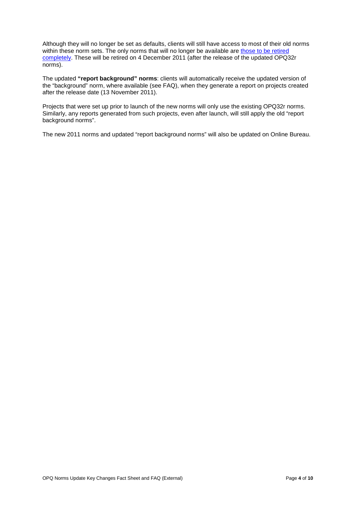Although they will no longer be set as defaults, clients will still have access to most of their old norms within these norm sets. The only norms that will no longer be available are [those to be retired](http://www2.shl.com/SHLOnDemand/Documents/OPQ-Norms/List-of-Norms-for-Retirement_Final.pdf)  [completely.](http://www2.shl.com/SHLOnDemand/Documents/OPQ-Norms/List-of-Norms-for-Retirement_Final.pdf) These will be retired on 4 December 2011 (after the release of the updated OPQ32r norms).

The updated **"report background" norms**: clients will automatically receive the updated version of the "background" norm, where available (see FAQ), when they generate a report on projects created after the release date (13 November 2011).

Projects that were set up prior to launch of the new norms will only use the existing OPQ32r norms. Similarly, any reports generated from such projects, even after launch, will still apply the old "report background norms".

The new 2011 norms and updated "report background norms" will also be updated on Online Bureau.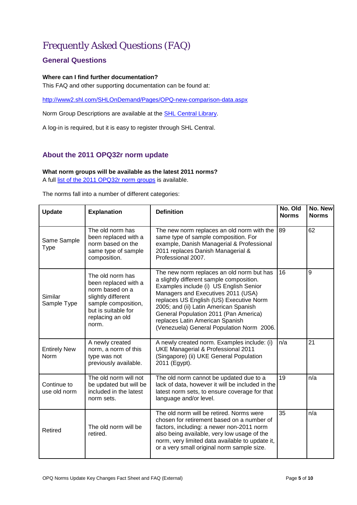# <span id="page-4-0"></span>Frequently Asked Questions (FAQ)

# <span id="page-4-1"></span>**General Questions**

#### **Where can I find further documentation?**

This FAQ and other supporting documentation can be found at:

<http://www2.shl.com/SHLOnDemand/Pages/OPQ-new-comparison-data.aspx>

Norm Group Descriptions are available at the [SHL Central Library.](http://central.shl.com/en-gb/TheLibrary/Pages/Library.aspx)

A log-in is required, but it is easy to register through SHL Central.

# <span id="page-4-2"></span>**About the 2011 OPQ32r norm update**

#### **What norm groups will be available as the latest 2011 norms?**

A full [list of the 2011 OPQ32r norm groups](http://www2.shl.com/SHLOnDemand/Documents/OPQ-Norms/List-of-All-2011-Norms_Final.pdf) is available.

The norms fall into a number of different categories:

| <b>Update</b>               | <b>Explanation</b>                                                                                                                                           | <b>Definition</b>                                                                                                                                                                                                                                                                                                                                                                  | No. Old<br><b>Norms</b> | No. New<br><b>Norms</b> |
|-----------------------------|--------------------------------------------------------------------------------------------------------------------------------------------------------------|------------------------------------------------------------------------------------------------------------------------------------------------------------------------------------------------------------------------------------------------------------------------------------------------------------------------------------------------------------------------------------|-------------------------|-------------------------|
| Same Sample<br>Type         | The old norm has<br>been replaced with a<br>norm based on the<br>same type of sample<br>composition.                                                         | The new norm replaces an old norm with the<br>same type of sample composition. For<br>example, Danish Managerial & Professional<br>2011 replaces Danish Managerial &<br>Professional 2007.                                                                                                                                                                                         | 89                      | 62                      |
| Similar<br>Sample Type      | The old norm has<br>been replaced with a<br>norm based on a<br>slightly different<br>sample composition,<br>but is suitable for<br>replacing an old<br>norm. | The new norm replaces an old norm but has<br>a slightly different sample composition.<br>Examples include (i) US English Senior<br>Managers and Executives 2011 (USA)<br>replaces US English (US) Executive Norm<br>2005; and (ii) Latin American Spanish<br>General Population 2011 (Pan America)<br>replaces Latin American Spanish<br>(Venezuela) General Population Norm 2006. | 16                      | 9                       |
| <b>Entirely New</b><br>Norm | A newly created<br>norm, a norm of this<br>type was not<br>previously available.                                                                             | A newly created norm. Examples include: (i)<br>UKE Managerial & Professional 2011<br>(Singapore) (ii) UKE General Population<br>2011 (Egypt).                                                                                                                                                                                                                                      | n/a                     | 21                      |
| Continue to<br>use old norm | The old norm will not<br>be updated but will be<br>included in the latest<br>norm sets.                                                                      | The old norm cannot be updated due to a<br>lack of data, however it will be included in the<br>latest norm sets, to ensure coverage for that<br>language and/or level.                                                                                                                                                                                                             | 19                      | n/a                     |
| Retired                     | The old norm will be<br>retired.                                                                                                                             | The old norm will be retired. Norms were<br>chosen for retirement based on a number of<br>factors, including: a newer non-2011 norm<br>also being available, very low usage of the<br>norm, very limited data available to update it,<br>or a very small original norm sample size.                                                                                                | 35                      | n/a                     |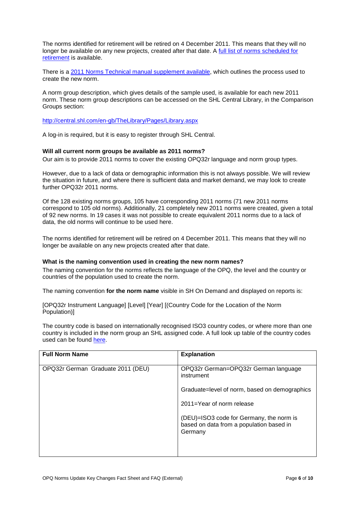The norms identified for retirement will be retired on 4 December 2011. This means that they will no longer be available on any new projects, created after that date. A [full list of norms scheduled for](http://www2.shl.com/SHLOnDemand/Documents/OPQ-Norms/List-of-Norms-for-Retirement_Final.pdf)  [retirement](http://www2.shl.com/SHLOnDemand/Documents/OPQ-Norms/List-of-Norms-for-Retirement_Final.pdf) is available.

There is a [2011 Norms Technical manual supplement available,](http://www2.shl.com/SHLOnDemand/Documents/OPQ-Norms/OPQ-Norm-Update-Technical-Documentation.pdf) which outlines the process used to create the new norm.

A norm group description, which gives details of the sample used, is available for each new 2011 norm. These norm group descriptions can be accessed on the SHL Central Library, in the Comparison Groups section:

<http://central.shl.com/en-gb/TheLibrary/Pages/Library.aspx>

A log-in is required, but it is easy to register through SHL Central.

#### **Will all current norm groups be available as 2011 norms?**

Our aim is to provide 2011 norms to cover the existing OPQ32r language and norm group types.

However, due to a lack of data or demographic information this is not always possible. We will review the situation in future, and where there is sufficient data and market demand, we may look to create further OPQ32r 2011 norms.

Of the 128 existing norms groups, 105 have corresponding 2011 norms (71 new 2011 norms correspond to 105 old norms). Additionally, 21 completely new 2011 norms were created, given a total of 92 new norms. In 19 cases it was not possible to create equivalent 2011 norms due to a lack of data, the old norms will continue to be used here.

The norms identified for retirement will be retired on 4 December 2011. This means that they will no longer be available on any new projects created after that date.

#### **What is the naming convention used in creating the new norm names?**

The naming convention for the norms reflects the language of the OPQ, the level and the country or countries of the population used to create the norm.

The naming convention **for the norm name** visible in SH On Demand and displayed on reports is:

[OPQ32r Instrument Language] [Level] [Year] [(Country Code for the Location of the Norm Population)]

The country code is based on internationally recognised ISO3 country codes, or where more than one country is included in the norm group an SHL assigned code. A full look up table of the country codes used can be found [here.](http://www2.shl.com/SHLOnDemand/Documents/OPQ-Norms/ISO3_Country_Code_List_with_SODA.pdf)

| <b>Full Norm Name</b>             | <b>Explanation</b>                                                                              |
|-----------------------------------|-------------------------------------------------------------------------------------------------|
| OPQ32r German Graduate 2011 (DEU) | OPQ32r German=OPQ32r German language<br>instrument                                              |
|                                   | Graduate=level of norm, based on demographics                                                   |
|                                   | $2011 =$ Year of norm release                                                                   |
|                                   | (DEU)=ISO3 code for Germany, the norm is<br>based on data from a population based in<br>Germany |
|                                   |                                                                                                 |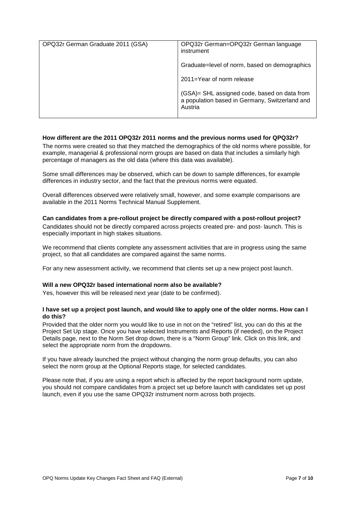| OPQ32r German=OPQ32r German language<br>instrument                                                        |
|-----------------------------------------------------------------------------------------------------------|
| Graduate=level of norm, based on demographics                                                             |
| 2011=Year of norm release                                                                                 |
| (GSA)= SHL assigned code, based on data from<br>a population based in Germany, Switzerland and<br>Austria |
|                                                                                                           |

#### **How different are the 2011 OPQ32r 2011 norms and the previous norms used for QPQ32r?**

The norms were created so that they matched the demographics of the old norms where possible, for example, managerial & professional norm groups are based on data that includes a similarly high percentage of managers as the old data (where this data was available).

Some small differences may be observed, which can be down to sample differences, for example differences in industry sector, and the fact that the previous norms were equated.

Overall differences observed were relatively small, however, and some example comparisons are available in the 2011 Norms Technical Manual Supplement.

#### **Can candidates from a pre-rollout project be directly compared with a post-rollout project?**

Candidates should not be directly compared across projects created pre- and post- launch. This is especially important in high stakes situations.

We recommend that clients complete any assessment activities that are in progress using the same project, so that all candidates are compared against the same norms.

For any new assessment activity, we recommend that clients set up a new project post launch.

#### **Will a new OPQ32r based international norm also be available?**

Yes, however this will be released next year (date to be confirmed).

#### **I have set up a project post launch, and would like to apply one of the older norms. How can I do this?**

Provided that the older norm you would like to use in not on the "retired" list, you can do this at the Project Set Up stage. Once you have selected Instruments and Reports (if needed), on the Project Details page, next to the Norm Set drop down, there is a "Norm Group" link. Click on this link, and select the appropriate norm from the dropdowns.

If you have already launched the project without changing the norm group defaults, you can also select the norm group at the Optional Reports stage, for selected candidates.

Please note that, if you are using a report which is affected by the report background norm update, you should not compare candidates from a project set up before launch with candidates set up post launch, even if you use the same OPQ32r instrument norm across both projects.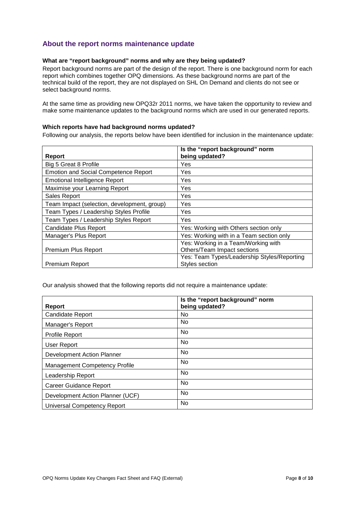# <span id="page-7-0"></span>**About the report norms maintenance update**

# **What are "report background" norms and why are they being updated?**

Report background norms are part of the design of the report. There is one background norm for each report which combines together OPQ dimensions. As these background norms are part of the technical build of the report, they are not displayed on SHL On Demand and clients do not see or select background norms.

At the same time as providing new OPQ32r 2011 norms, we have taken the opportunity to review and make some maintenance updates to the background norms which are used in our generated reports.

#### **Which reports have had background norms updated?**

Following our analysis, the reports below have been identified for inclusion in the maintenance update:

| <b>Report</b>                               | Is the "report background" norm<br>being updated? |
|---------------------------------------------|---------------------------------------------------|
| Big 5 Great 8 Profile                       | Yes                                               |
| <b>Emotion and Social Competence Report</b> | Yes                                               |
| <b>Emotional Intelligence Report</b>        | Yes                                               |
| Maximise your Learning Report               | Yes                                               |
| Sales Report                                | Yes                                               |
| Team Impact (selection, development, group) | <b>Yes</b>                                        |
| Team Types / Leadership Styles Profile      | Yes                                               |
| Team Types / Leadership Styles Report       | Yes                                               |
| <b>Candidate Plus Report</b>                | Yes: Working with Others section only             |
| Manager's Plus Report                       | Yes: Working with in a Team section only          |
|                                             | Yes: Working in a Team/Working with               |
| Premium Plus Report                         | Others/Team Impact sections                       |
|                                             | Yes: Team Types/Leadership Styles/Reporting       |
| <b>Premium Report</b>                       | Styles section                                    |

Our analysis showed that the following reports did not require a maintenance update:

|                                      | Is the "report background" norm |
|--------------------------------------|---------------------------------|
| <b>Report</b>                        | being updated?                  |
| <b>Candidate Report</b>              | <b>No</b>                       |
| Manager's Report                     | No                              |
| <b>Profile Report</b>                | No                              |
| User Report                          | <b>No</b>                       |
| Development Action Planner           | No                              |
| <b>Management Competency Profile</b> | No                              |
| Leadership Report                    | No                              |
| Career Guidance Report               | No                              |
| Development Action Planner (UCF)     | No                              |
| Universal Competency Report          | No                              |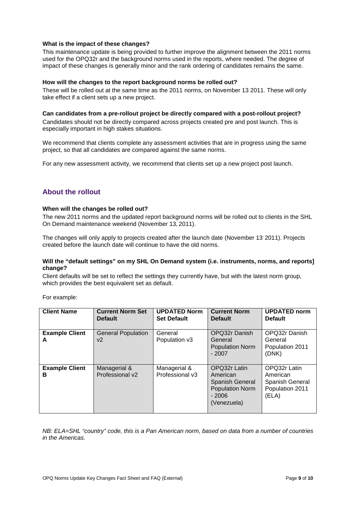#### **What is the impact of these changes?**

This maintenance update is being provided to further improve the alignment between the 2011 norms used for the OPQ32r and the background norms used in the reports, where needed. The degree of impact of these changes is generally minor and the rank ordering of candidates remains the same.

#### **How will the changes to the report background norms be rolled out?**

These will be rolled out at the same time as the 2011 norms, on November 13 2011. These will only take effect if a client sets up a new project.

**Can candidates from a pre-rollout project be directly compared with a post-rollout project?** Candidates should not be directly compared across projects created pre and post launch. This is especially important in high stakes situations.

We recommend that clients complete any assessment activities that are in progress using the same project, so that all candidates are compared against the same norms.

For any new assessment activity, we recommend that clients set up a new project post launch.

# <span id="page-8-0"></span>**About the rollout**

#### **When will the changes be rolled out?**

The new 2011 norms and the updated report background norms will be rolled out to clients in the SHL On Demand maintenance weekend (November 13, 2011).

The changes will only apply to projects created after the launch date (November 13' 2011). Projects created before the launch date will continue to have the old norms.

#### **Will the "default settings" on my SHL On Demand system (i.e. instruments, norms, and reports] change?**

Client defaults will be set to reflect the settings they currently have, but with the latest norm group, which provides the best equivalent set as default.

For example:

| <b>Client Name</b>         | <b>Current Norm Set</b><br><b>Default</b> | <b>UPDATED Norm</b><br><b>Set Default</b> | <b>Current Norm</b><br><b>Default</b>                                                           | <b>UPDATED norm</b><br><b>Default</b>                                   |
|----------------------------|-------------------------------------------|-------------------------------------------|-------------------------------------------------------------------------------------------------|-------------------------------------------------------------------------|
| <b>Example Client</b><br>A | <b>General Population</b><br>v2           | General<br>Population v3                  | OPQ32r Danish<br>General<br><b>Population Norm</b><br>$-2007$                                   | OPQ32r Danish<br>General<br>Population 2011<br>(DNK)                    |
| <b>Example Client</b><br>в | Managerial &<br>Professional v2           | Managerial &<br>Professional v3           | OPQ32r Latin<br>American<br>Spanish General<br><b>Population Norm</b><br>$-2006$<br>(Venezuela) | OPQ32r Latin<br>American<br>Spanish General<br>Population 2011<br>(ELA) |

*NB: ELA=SHL "country" code, this is a Pan American norm, based on data from a number of countries in the Americas.*